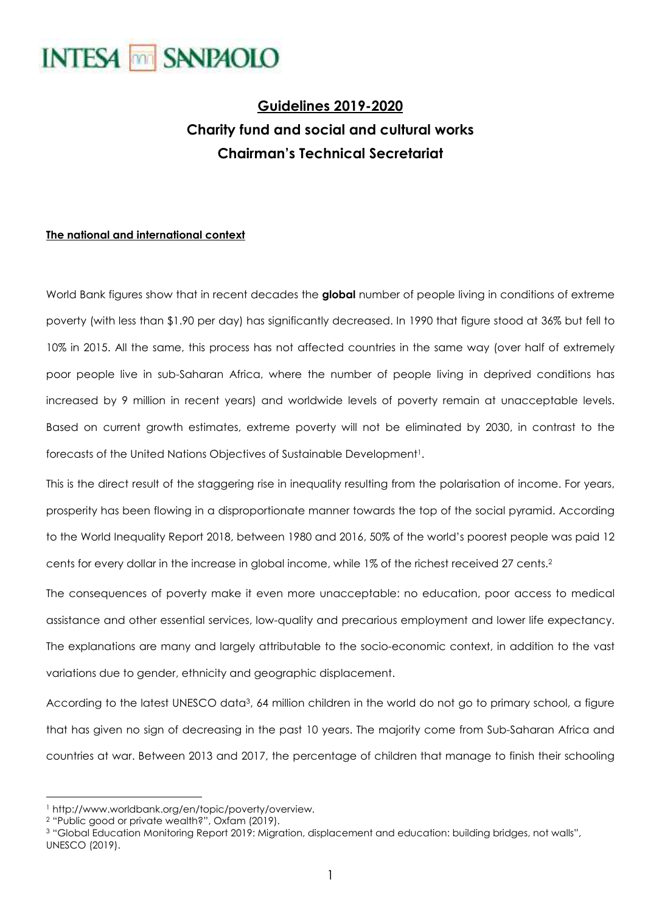

### **Guidelines 2019-2020 Charity fund and social and cultural works Chairman's Technical Secretariat**

#### **The national and international context**

World Bank figures show that in recent decades the **global** number of people living in conditions of extreme poverty (with less than \$1.90 per day) has significantly decreased. In 1990 that figure stood at 36% but fell to 10% in 2015. All the same, this process has not affected countries in the same way (over half of extremely poor people live in sub-Saharan Africa, where the number of people living in deprived conditions has increased by 9 million in recent years) and worldwide levels of poverty remain at unacceptable levels. Based on current growth estimates, extreme poverty will not be eliminated by 2030, in contrast to the forecasts of the United Nations Objectives of Sustainable Development<sup>1</sup>.

This is the direct result of the staggering rise in inequality resulting from the polarisation of income. For years, prosperity has been flowing in a disproportionate manner towards the top of the social pyramid. According to the World Inequality Report 2018, between 1980 and 2016, 50% of the world's poorest people was paid 12 cents for every dollar in the increase in global income, while 1% of the richest received 27 cents.<sup>2</sup>

The consequences of poverty make it even more unacceptable: no education, poor access to medical assistance and other essential services, low-quality and precarious employment and lower life expectancy. The explanations are many and largely attributable to the socio-economic context, in addition to the vast variations due to gender, ethnicity and geographic displacement.

According to the latest UNESCO data3, 64 million children in the world do not go to primary school, a figure that has given no sign of decreasing in the past 10 years. The majority come from Sub-Saharan Africa and countries at war. Between 2013 and 2017, the percentage of children that manage to finish their schooling

 $\overline{a}$ 1 http://www.worldbank.org/en/topic/poverty/overview.

<sup>2</sup> "Public good or private wealth?", Oxfam (2019).

<sup>3</sup> "Global Education Monitoring Report 2019: Migration, displacement and education: building bridges, not walls", UNESCO (2019).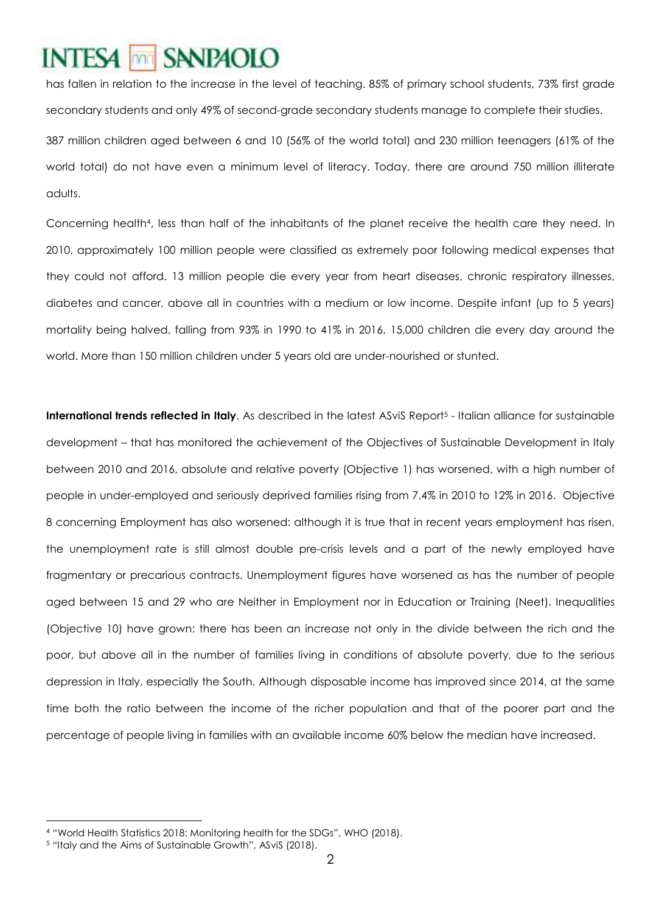### SANP<sub>4010</sub> **INTES4** mm

has fallen in relation to the increase in the level of teaching. 85% of primary school students, 73% first grade secondary students and only 49% of second-grade secondary students manage to complete their studies. 387 million children aged between 6 and 10 (56% of the world total) and 230 million teenagers (61% of the world total) do not have even a minimum level of literacy. Today, there are around 750 million illiterate

adults.

Concerning health<sup>4</sup>, less than half of the inhabitants of the planet receive the health care they need. In 2010, approximately 100 million people were classified as extremely poor following medical expenses that they could not afford. 13 million people die every year from heart diseases, chronic respiratory illnesses, diabetes and cancer, above all in countries with a medium or low income. Despite infant (up to 5 years) mortality being halved, falling from 93% in 1990 to 41% in 2016, 15,000 children die every day around the world. More than 150 million children under 5 years old are under-nourished or stunted.

**International trends reflected in Italy**. As described in the latest ASviS Report<sup>5</sup> - Italian alliance for sustainable development – that has monitored the achievement of the Objectives of Sustainable Development in Italy between 2010 and 2016, absolute and relative poverty (Objective 1) has worsened, with a high number of people in under-employed and seriously deprived families rising from 7.4% in 2010 to 12% in 2016. Objective 8 concerning Employment has also worsened: although it is true that in recent years employment has risen, the unemployment rate is still almost double pre-crisis levels and a part of the newly employed have fragmentary or precarious contracts. Unemployment figures have worsened as has the number of people aged between 15 and 29 who are Neither in Employment nor in Education or Training (Neet). Inequalities (Objective 10) have grown: there has been an increase not only in the divide between the rich and the poor, but above all in the number of families living in conditions of absolute poverty, due to the serious depression in Italy, especially the South. Although disposable income has improved since 2014, at the same time both the ratio between the income of the richer population and that of the poorer part and the percentage of people living in families with an available income 60% below the median have increased.

<sup>4</sup> "World Health Statistics 2018: Monitoring health for the SDGs", WHO (2018).

<sup>5</sup> "Italy and the Aims of Sustainable Growth", ASviS (2018).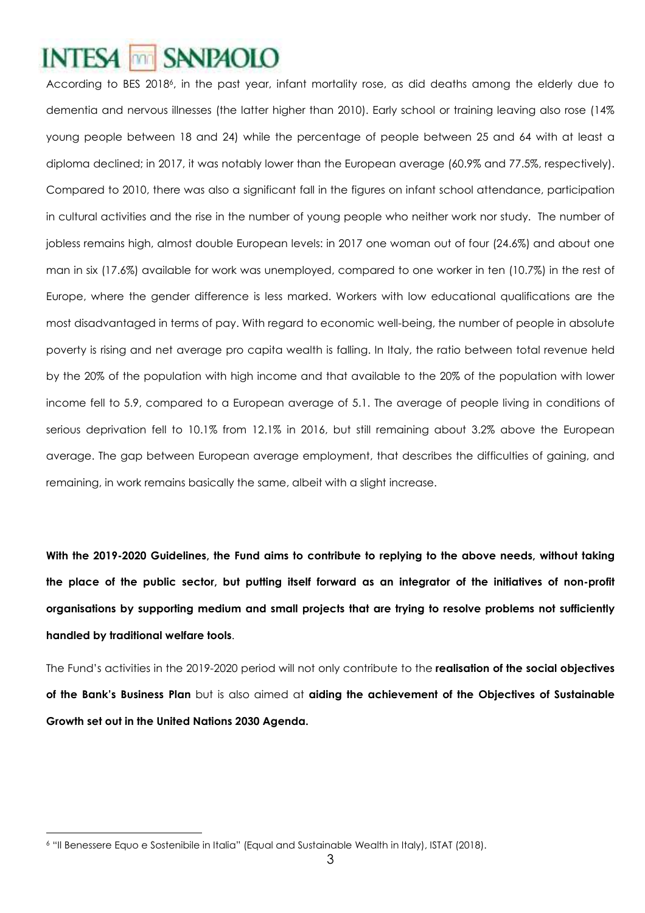### SANP<sub>4010</sub> **INTES4** mm

According to BES 2018<sup>6</sup>, in the past year, infant mortality rose, as did deaths among the elderly due to dementia and nervous illnesses (the latter higher than 2010). Early school or training leaving also rose (14% young people between 18 and 24) while the percentage of people between 25 and 64 with at least a diploma declined; in 2017, it was notably lower than the European average (60.9% and 77.5%, respectively). Compared to 2010, there was also a significant fall in the figures on infant school attendance, participation in cultural activities and the rise in the number of young people who neither work nor study. The number of jobless remains high, almost double European levels: in 2017 one woman out of four (24.6%) and about one man in six (17.6%) available for work was unemployed, compared to one worker in ten (10.7%) in the rest of Europe, where the gender difference is less marked. Workers with low educational qualifications are the most disadvantaged in terms of pay. With regard to economic well-being, the number of people in absolute poverty is rising and net average pro capita wealth is falling. In Italy, the ratio between total revenue held by the 20% of the population with high income and that available to the 20% of the population with lower income fell to 5.9, compared to a European average of 5.1. The average of people living in conditions of serious deprivation fell to 10.1% from 12.1% in 2016, but still remaining about 3.2% above the European average. The gap between European average employment, that describes the difficulties of gaining, and remaining, in work remains basically the same, albeit with a slight increase.

**With the 2019-2020 Guidelines, the Fund aims to contribute to replying to the above needs, without taking the place of the public sector, but putting itself forward as an integrator of the initiatives of non-profit organisations by supporting medium and small projects that are trying to resolve problems not sufficiently handled by traditional welfare tools**.

The Fund's activities in the 2019-2020 period will not only contribute to the **realisation of the social objectives of the Bank's Business Plan** but is also aimed at **aiding the achievement of the Objectives of Sustainable Growth set out in the United Nations 2030 Agenda.**

 $\overline{a}$ 6 "Il Benessere Equo e Sostenibile in Italia" (Equal and Sustainable Wealth in Italy), ISTAT (2018).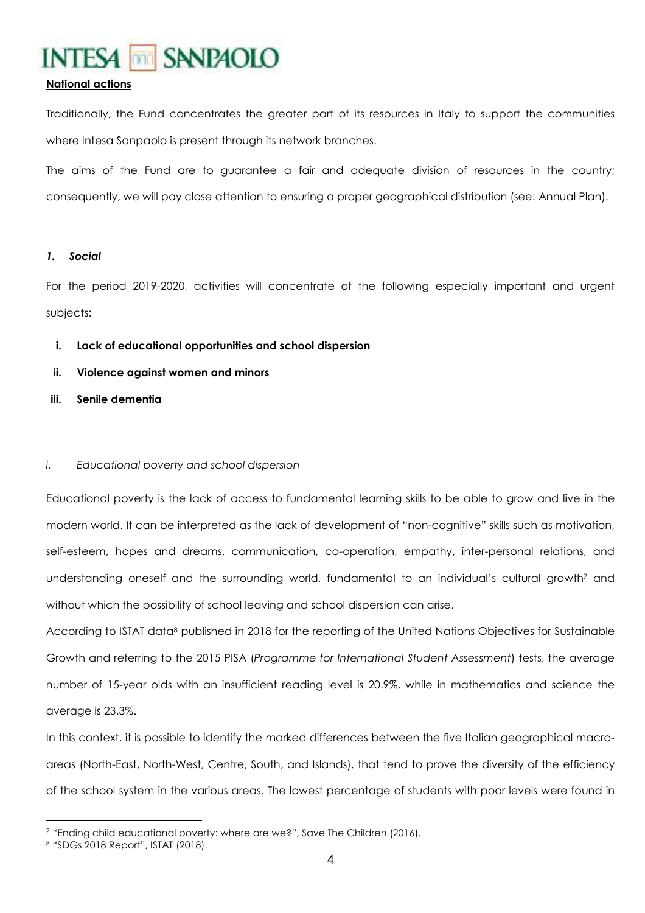#### **National actions**

Traditionally, the Fund concentrates the greater part of its resources in Italy to support the communities where Intesa Sanpaolo is present through its network branches.

The aims of the Fund are to guarantee a fair and adequate division of resources in the country; consequently, we will pay close attention to ensuring a proper geographical distribution (see: Annual Plan).

#### *1. Social*

For the period 2019-2020, activities will concentrate of the following especially important and urgent subjects:

- **i. Lack of educational opportunities and school dispersion**
- **ii. Violence against women and minors**
- **iii. Senile dementia**

#### *i. Educational poverty and school dispersion*

Educational poverty is the lack of access to fundamental learning skills to be able to grow and live in the modern world. It can be interpreted as the lack of development of "non-cognitive" skills such as motivation, self-esteem, hopes and dreams, communication, co-operation, empathy, inter-personal relations, and understanding oneself and the surrounding world, fundamental to an individual's cultural growth<sup>7</sup> and without which the possibility of school leaving and school dispersion can arise.

According to ISTAT data8 published in 2018 for the reporting of the United Nations Objectives for Sustainable Growth and referring to the 2015 PISA (*Programme for International Student Assessment*) tests, the average number of 15-year olds with an insufficient reading level is 20.9%, while in mathematics and science the average is 23.3%.

In this context, it is possible to identify the marked differences between the five Italian geographical macroareas (North-East, North-West, Centre, South, and Islands), that tend to prove the diversity of the efficiency of the school system in the various areas. The lowest percentage of students with poor levels were found in

<sup>7</sup> "Ending child educational poverty: where are we?", Save The Children (2016).

<sup>8</sup> "SDGs 2018 Report", ISTAT (2018).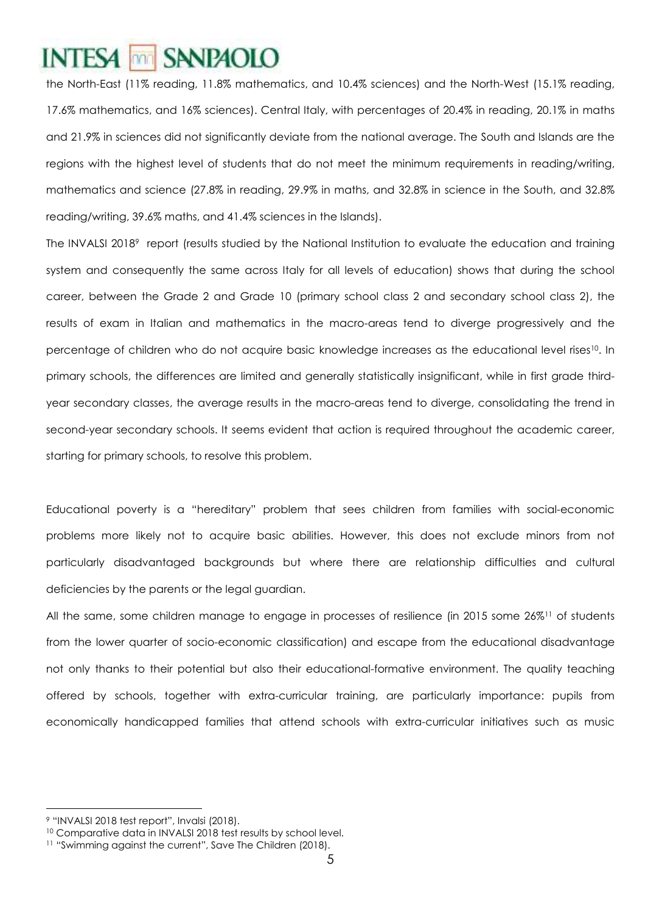the North-East (11% reading, 11.8% mathematics, and 10.4% sciences) and the North-West (15.1% reading, 17.6% mathematics, and 16% sciences). Central Italy, with percentages of 20.4% in reading, 20.1% in maths and 21.9% in sciences did not significantly deviate from the national average. The South and Islands are the regions with the highest level of students that do not meet the minimum requirements in reading/writing, mathematics and science (27.8% in reading, 29.9% in maths, and 32.8% in science in the South, and 32.8% reading/writing, 39.6% maths, and 41.4% sciences in the Islands).

The INVALSI 20189 report (results studied by the National Institution to evaluate the education and training system and consequently the same across Italy for all levels of education) shows that during the school career, between the Grade 2 and Grade 10 (primary school class 2 and secondary school class 2), the results of exam in Italian and mathematics in the macro-areas tend to diverge progressively and the percentage of children who do not acquire basic knowledge increases as the educational level rises<sup>10</sup>. In primary schools, the differences are limited and generally statistically insignificant, while in first grade thirdyear secondary classes, the average results in the macro-areas tend to diverge, consolidating the trend in second-year secondary schools. It seems evident that action is required throughout the academic career, starting for primary schools, to resolve this problem.

Educational poverty is a "hereditary" problem that sees children from families with social-economic problems more likely not to acquire basic abilities. However, this does not exclude minors from not particularly disadvantaged backgrounds but where there are relationship difficulties and cultural deficiencies by the parents or the legal guardian.

All the same, some children manage to engage in processes of resilience (in 2015 some 26%11 of students from the lower quarter of socio-economic classification) and escape from the educational disadvantage not only thanks to their potential but also their educational-formative environment. The quality teaching offered by schools, together with extra-curricular training, are particularly importance: pupils from economically handicapped families that attend schools with extra-curricular initiatives such as music

 $\overline{a}$ 9 "INVALSI 2018 test report", Invalsi (2018).

<sup>10</sup> Comparative data in INVALSI 2018 test results by school level.

<sup>11</sup> "Swimming against the current", Save The Children (2018).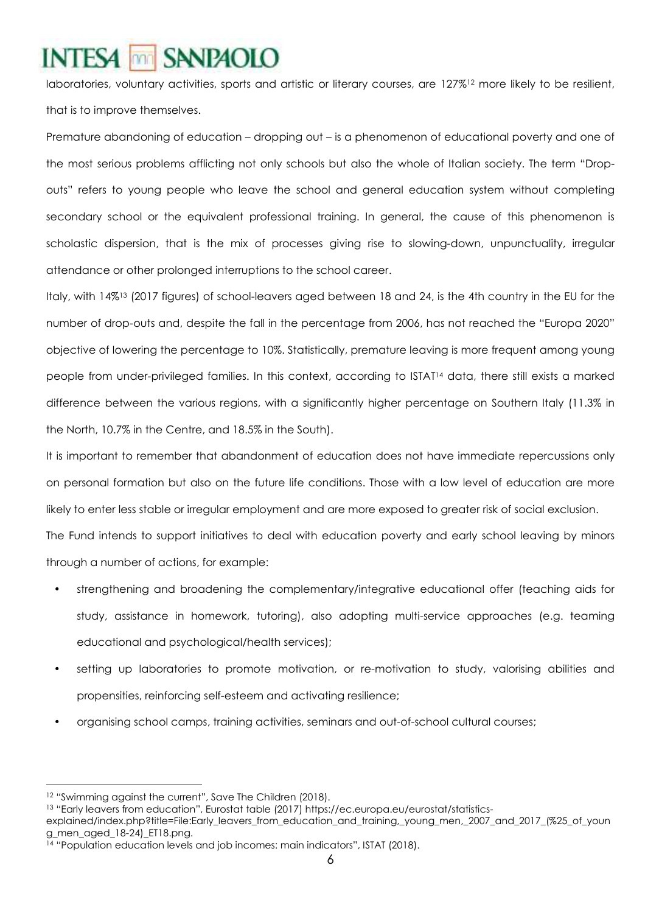laboratories, voluntary activities, sports and artistic or literary courses, are 127%12 more likely to be resilient, that is to improve themselves.

Premature abandoning of education – dropping out – is a phenomenon of educational poverty and one of the most serious problems afflicting not only schools but also the whole of Italian society. The term "Dropouts" refers to young people who leave the school and general education system without completing secondary school or the equivalent professional training. In general, the cause of this phenomenon is scholastic dispersion, that is the mix of processes giving rise to slowing-down, unpunctuality, irregular attendance or other prolonged interruptions to the school career.

Italy, with 14%13 (2017 figures) of school-leavers aged between 18 and 24, is the 4th country in the EU for the number of drop-outs and, despite the fall in the percentage from 2006, has not reached the "Europa 2020" objective of lowering the percentage to 10%. Statistically, premature leaving is more frequent among young people from under-privileged families. In this context, according to ISTAT14 data, there still exists a marked difference between the various regions, with a significantly higher percentage on Southern Italy (11.3% in the North, 10.7% in the Centre, and 18.5% in the South).

It is important to remember that abandonment of education does not have immediate repercussions only on personal formation but also on the future life conditions. Those with a low level of education are more likely to enter less stable or irregular employment and are more exposed to greater risk of social exclusion.

The Fund intends to support initiatives to deal with education poverty and early school leaving by minors through a number of actions, for example:

- strengthening and broadening the complementary/integrative educational offer (teaching aids for study, assistance in homework, tutoring), also adopting multi-service approaches (e.g. teaming educational and psychological/health services);
- setting up laboratories to promote motivation, or re-motivation to study, valorising abilities and propensities, reinforcing self-esteem and activating resilience;
- organising school camps, training activities, seminars and out-of-school cultural courses;

 $\overline{a}$ <sup>12</sup> "Swimming against the current", Save The Children (2018).

<sup>13</sup> "Early leavers from education", Eurostat table (2017) https://ec.europa.eu/eurostat/statistics-

explained/index.php?title=File:Early\_leavers\_from\_education\_and\_training,\_young\_men,\_2007\_and\_2017\_(%25\_of\_youn g\_men\_aged\_18-24)\_ET18.png.

<sup>14 &</sup>quot;Population education levels and job incomes: main indicators", ISTAT (2018).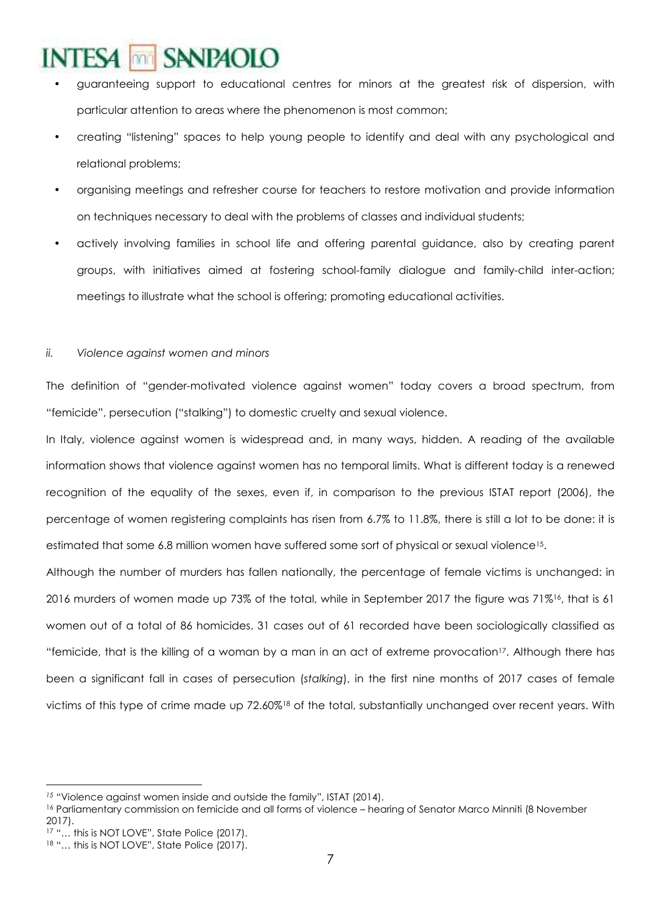- guaranteeing support to educational centres for minors at the greatest risk of dispersion, with particular attention to areas where the phenomenon is most common;
- creating "listening" spaces to help young people to identify and deal with any psychological and relational problems;
- organising meetings and refresher course for teachers to restore motivation and provide information on techniques necessary to deal with the problems of classes and individual students;
- actively involving families in school life and offering parental guidance, also by creating parent groups, with initiatives aimed at fostering school-family dialogue and family-child inter-action; meetings to illustrate what the school is offering; promoting educational activities.

#### *ii. Violence against women and minors*

The definition of "gender-motivated violence against women" today covers a broad spectrum, from "femicide", persecution ("stalking") to domestic cruelty and sexual violence.

In Italy, violence against women is widespread and, in many ways, hidden. A reading of the available information shows that violence against women has no temporal limits. What is different today is a renewed recognition of the equality of the sexes, even if, in comparison to the previous ISTAT report (2006), the percentage of women registering complaints has risen from 6.7% to 11.8%, there is still a lot to be done: it is estimated that some 6.8 million women have suffered some sort of physical or sexual violence15.

Although the number of murders has fallen nationally, the percentage of female victims is unchanged: in 2016 murders of women made up 73% of the total, while in September 2017 the figure was 71%<sup>16</sup>, that is 61 women out of a total of 86 homicides. 31 cases out of 61 recorded have been sociologically classified as "femicide, that is the killing of a woman by a man in an act of extreme provocation<sup>17</sup>. Although there has been a significant fall in cases of persecution (*stalking*), in the first nine months of 2017 cases of female victims of this type of crime made up 72.60%18 of the total, substantially unchanged over recent years. With

 $\overline{a}$ <sup>15</sup> "Violence against women inside and outside the family", ISTAT (2014).

<sup>16</sup> Parliamentary commission on femicide and all forms of violence – hearing of Senator Marco Minniti (8 November 2017).

<sup>17 &</sup>quot;... this is NOT LOVE", State Police (2017).

<sup>18 &</sup>quot;... this is NOT LOVE", State Police (2017).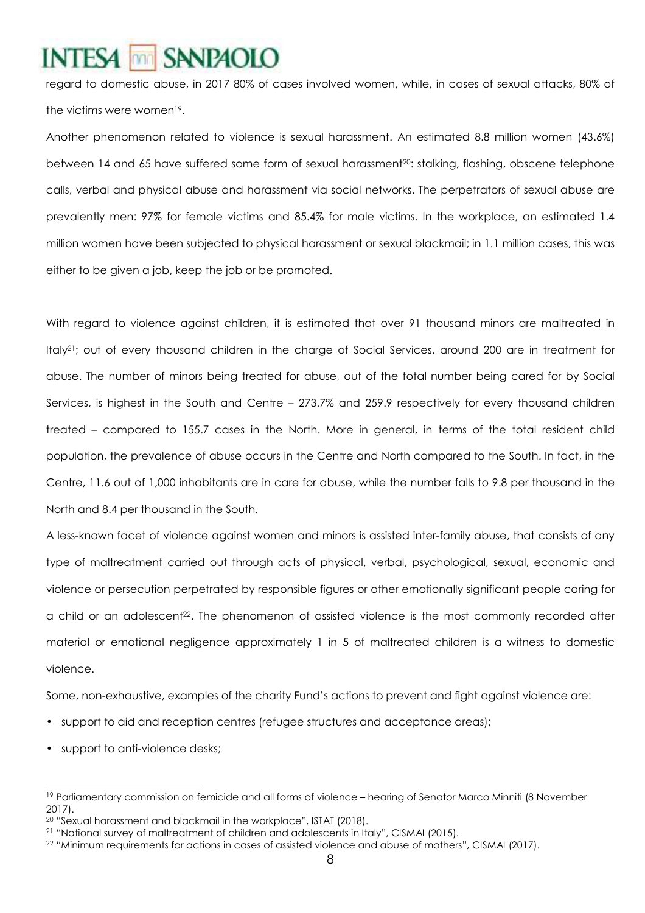regard to domestic abuse, in 2017 80% of cases involved women, while, in cases of sexual attacks, 80% of the victims were women<sup>19</sup>.

Another phenomenon related to violence is sexual harassment. An estimated 8.8 million women (43.6%) between 14 and 65 have suffered some form of sexual harassment20: stalking, flashing, obscene telephone calls, verbal and physical abuse and harassment via social networks. The perpetrators of sexual abuse are prevalently men: 97% for female victims and 85.4% for male victims. In the workplace, an estimated 1.4 million women have been subjected to physical harassment or sexual blackmail; in 1.1 million cases, this was either to be given a job, keep the job or be promoted.

With regard to violence against children, it is estimated that over 91 thousand minors are maltreated in Italy21; out of every thousand children in the charge of Social Services, around 200 are in treatment for abuse. The number of minors being treated for abuse, out of the total number being cared for by Social Services, is highest in the South and Centre – 273.7% and 259.9 respectively for every thousand children treated – compared to 155.7 cases in the North. More in general, in terms of the total resident child population, the prevalence of abuse occurs in the Centre and North compared to the South. In fact, in the Centre, 11.6 out of 1,000 inhabitants are in care for abuse, while the number falls to 9.8 per thousand in the North and 8.4 per thousand in the South.

A less-known facet of violence against women and minors is assisted inter-family abuse, that consists of any type of maltreatment carried out through acts of physical, verbal, psychological, sexual, economic and violence or persecution perpetrated by responsible figures or other emotionally significant people caring for a child or an adolescent22. The phenomenon of assisted violence is the most commonly recorded after material or emotional negligence approximately 1 in 5 of maltreated children is a witness to domestic violence.

Some, non-exhaustive, examples of the charity Fund's actions to prevent and fight against violence are:

- support to aid and reception centres (refugee structures and acceptance areas);
- support to anti-violence desks;

<sup>19</sup> Parliamentary commission on femicide and all forms of violence – hearing of Senator Marco Minniti (8 November 2017).

<sup>20</sup> "Sexual harassment and blackmail in the workplace", ISTAT (2018).

<sup>21</sup> "National survey of maltreatment of children and adolescents in Italy", CISMAI (2015).

<sup>22</sup> "Minimum requirements for actions in cases of assisted violence and abuse of mothers", CISMAI (2017).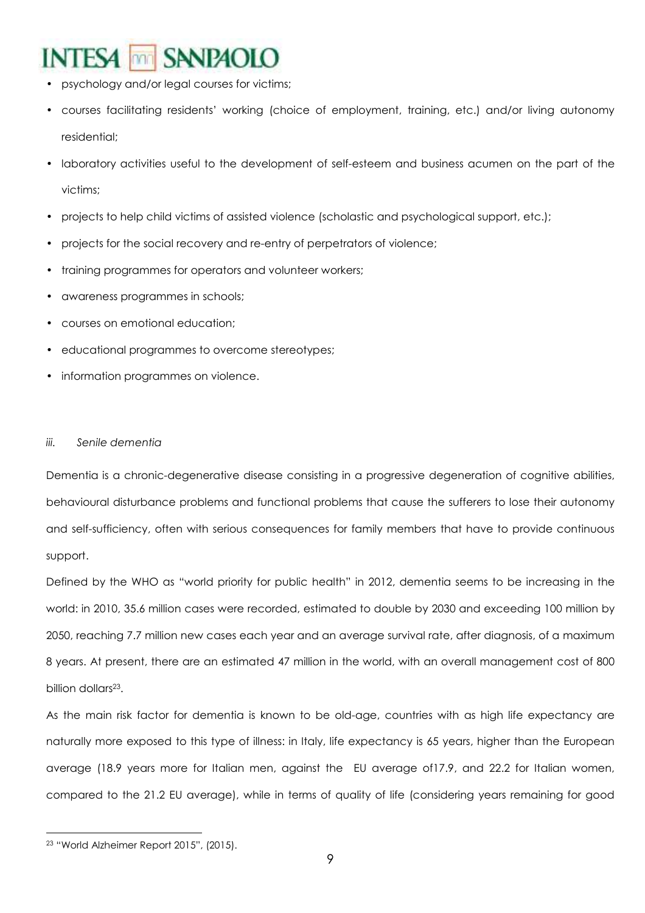### **SANPAOLO INTESA** m

- psychology and/or legal courses for victims;
- courses facilitating residents' working (choice of employment, training, etc.) and/or living autonomy residential;
- laboratory activities useful to the development of self-esteem and business acumen on the part of the victims;
- projects to help child victims of assisted violence (scholastic and psychological support, etc.);
- projects for the social recovery and re-entry of perpetrators of violence;
- training programmes for operators and volunteer workers;
- awareness programmes in schools;
- courses on emotional education;
- educational programmes to overcome stereotypes;
- information programmes on violence.

#### *iii. Senile dementia*

Dementia is a chronic-degenerative disease consisting in a progressive degeneration of cognitive abilities, behavioural disturbance problems and functional problems that cause the sufferers to lose their autonomy and self-sufficiency, often with serious consequences for family members that have to provide continuous support.

Defined by the WHO as "world priority for public health" in 2012, dementia seems to be increasing in the world: in 2010, 35.6 million cases were recorded, estimated to double by 2030 and exceeding 100 million by 2050, reaching 7.7 million new cases each year and an average survival rate, after diagnosis, of a maximum 8 years. At present, there are an estimated 47 million in the world, with an overall management cost of 800 billion dollars<sup>23</sup>.

As the main risk factor for dementia is known to be old-age, countries with as high life expectancy are naturally more exposed to this type of illness: in Italy, life expectancy is 65 years, higher than the European average (18.9 years more for Italian men, against the EU average of17.9, and 22.2 for Italian women, compared to the 21.2 EU average), while in terms of quality of life (considering years remaining for good

<sup>23</sup> "World Alzheimer Report 2015", (2015).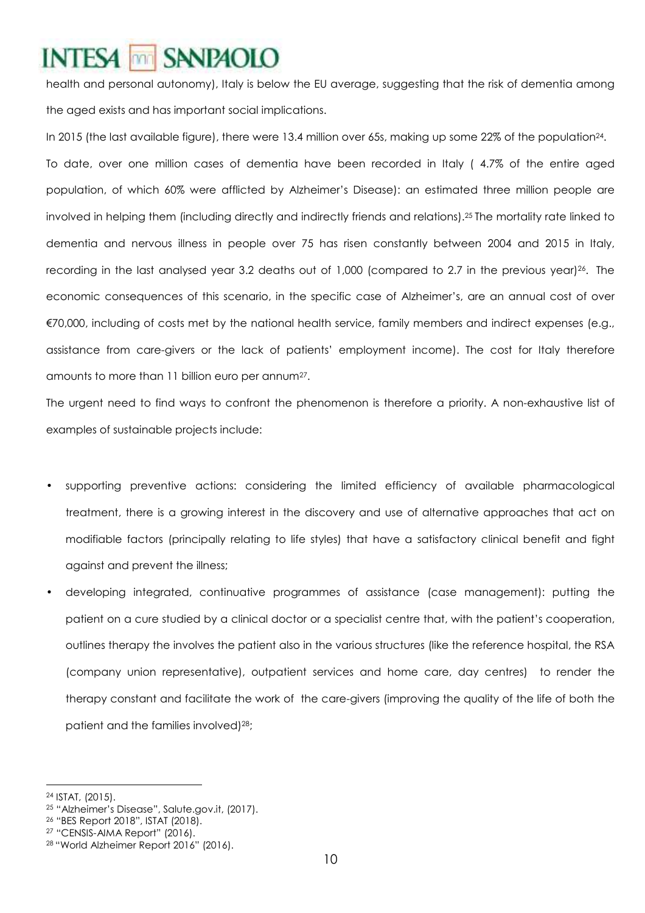health and personal autonomy), Italy is below the EU average, suggesting that the risk of dementia among the aged exists and has important social implications.

In 2015 (the last available figure), there were 13.4 million over 65s, making up some 22% of the population24. To date, over one million cases of dementia have been recorded in Italy ( 4.7% of the entire aged population, of which 60% were afflicted by Alzheimer's Disease): an estimated three million people are involved in helping them (including directly and indirectly friends and relations).25 The mortality rate linked to dementia and nervous illness in people over 75 has risen constantly between 2004 and 2015 in Italy, recording in the last analysed year 3.2 deaths out of 1,000 (compared to 2.7 in the previous year)<sup>26</sup>. The economic consequences of this scenario, in the specific case of Alzheimer's, are an annual cost of over €70,000, including of costs met by the national health service, family members and indirect expenses (e.g., assistance from care-givers or the lack of patients' employment income). The cost for Italy therefore amounts to more than 11 billion euro per annum27.

The urgent need to find ways to confront the phenomenon is therefore a priority. A non-exhaustive list of examples of sustainable projects include:

- supporting preventive actions: considering the limited efficiency of available pharmacological treatment, there is a growing interest in the discovery and use of alternative approaches that act on modifiable factors (principally relating to life styles) that have a satisfactory clinical benefit and fight against and prevent the illness;
- developing integrated, continuative programmes of assistance (case management): putting the patient on a cure studied by a clinical doctor or a specialist centre that, with the patient's cooperation, outlines therapy the involves the patient also in the various structures (like the reference hospital, the RSA (company union representative), outpatient services and home care, day centres) to render the therapy constant and facilitate the work of the care-givers (improving the quality of the life of both the patient and the families involved)<sup>28</sup>;

<sup>24</sup> ISTAT, (2015).

<sup>25</sup> "Alzheimer's Disease", Salute.gov.it, (2017).

<sup>26</sup> "BES Report 2018", ISTAT (2018).

<sup>27</sup> "CENSIS-AIMA Report" (2016).

<sup>28</sup> "World Alzheimer Report 2016" (2016).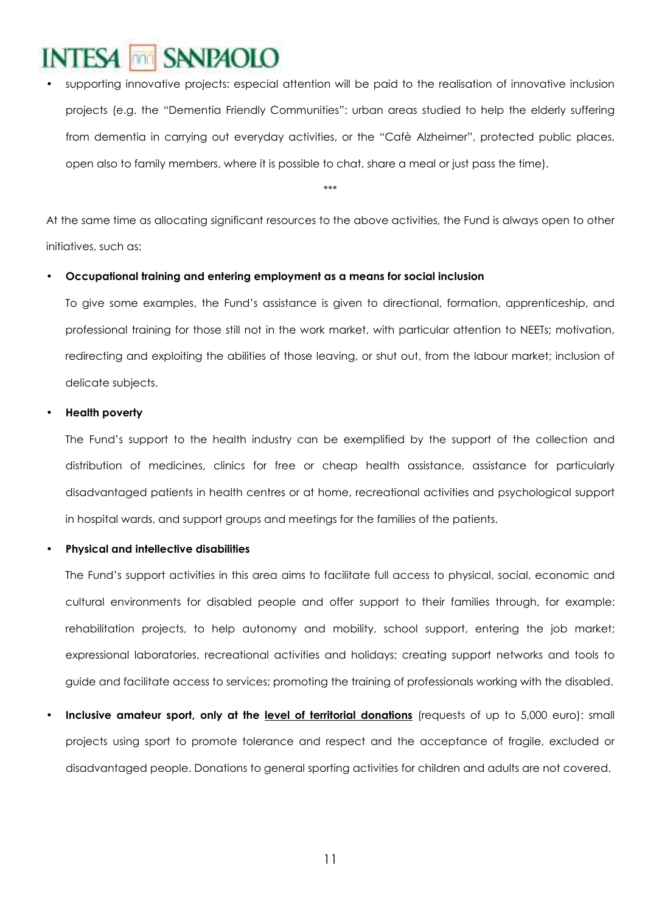### SANP<sub>4</sub>OLO **NTESA** Ima

supporting innovative projects: especial attention will be paid to the realisation of innovative inclusion projects (e.g. the "Dementia Friendly Communities": urban areas studied to help the elderly suffering from dementia in carrying out everyday activities, or the "Cafè Alzheimer", protected public places, open also to family members, where it is possible to chat, share a meal or just pass the time).

\*\*\*

At the same time as allocating significant resources to the above activities, the Fund is always open to other initiatives, such as:

#### • **Occupational training and entering employment as a means for social inclusion**

To give some examples, the Fund's assistance is given to directional, formation, apprenticeship, and professional training for those still not in the work market, with particular attention to NEETs; motivation, redirecting and exploiting the abilities of those leaving, or shut out, from the labour market; inclusion of delicate subjects.

#### • **Health poverty**

The Fund's support to the health industry can be exemplified by the support of the collection and distribution of medicines, clinics for free or cheap health assistance, assistance for particularly disadvantaged patients in health centres or at home, recreational activities and psychological support in hospital wards, and support groups and meetings for the families of the patients.

#### • **Physical and intellective disabilities**

The Fund's support activities in this area aims to facilitate full access to physical, social, economic and cultural environments for disabled people and offer support to their families through, for example: rehabilitation projects, to help autonomy and mobility, school support, entering the job market; expressional laboratories, recreational activities and holidays; creating support networks and tools to guide and facilitate access to services; promoting the training of professionals working with the disabled.

• **Inclusive amateur sport, only at the level of territorial donations** (requests of up to 5,000 euro): small projects using sport to promote tolerance and respect and the acceptance of fragile, excluded or disadvantaged people. Donations to general sporting activities for children and adults are not covered.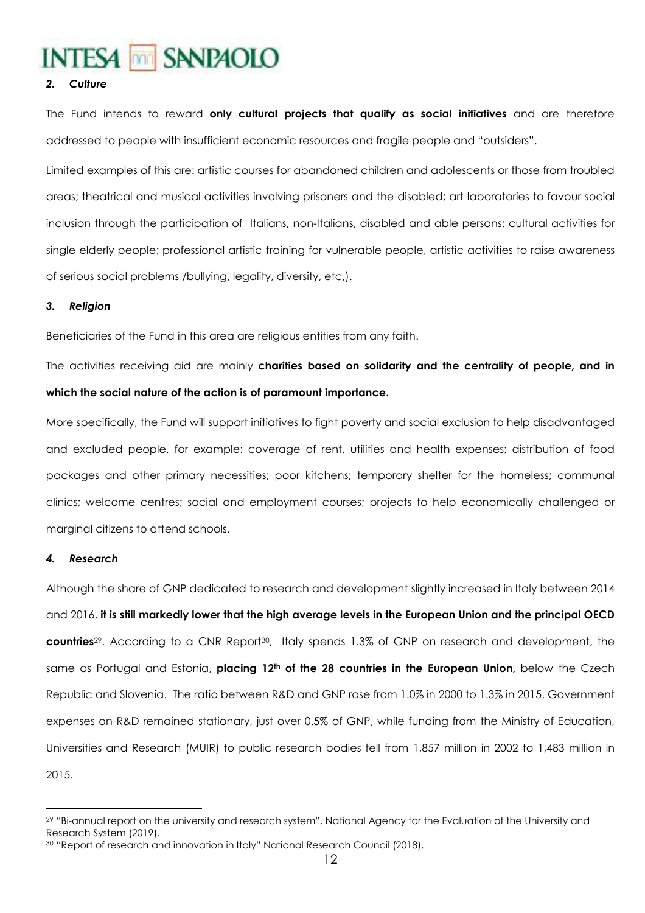#### *2. Culture*

The Fund intends to reward **only cultural projects that qualify as social initiatives** and are therefore addressed to people with insufficient economic resources and fragile people and "outsiders".

Limited examples of this are: artistic courses for abandoned children and adolescents or those from troubled areas; theatrical and musical activities involving prisoners and the disabled; art laboratories to favour social inclusion through the participation of Italians, non-Italians, disabled and able persons; cultural activities for single elderly people; professional artistic training for vulnerable people, artistic activities to raise awareness of serious social problems /bullying, legality, diversity, etc,).

#### *3. Religion*

Beneficiaries of the Fund in this area are religious entities from any faith.

The activities receiving aid are mainly **charities based on solidarity and the centrality of people, and in which the social nature of the action is of paramount importance.**

More specifically, the Fund will support initiatives to fight poverty and social exclusion to help disadvantaged and excluded people, for example: coverage of rent, utilities and health expenses; distribution of food packages and other primary necessities; poor kitchens; temporary shelter for the homeless; communal clinics; welcome centres; social and employment courses; projects to help economically challenged or marginal citizens to attend schools.

#### *4. Research*

Although the share of GNP dedicated to research and development slightly increased in Italy between 2014 and 2016, **it is still markedly lower that the high average levels in the European Union and the principal OECD countries**29. According to a CNR Report30, Italy spends 1.3% of GNP on research and development, the same as Portugal and Estonia, **placing 12th of the 28 countries in the European Union,** below the Czech Republic and Slovenia. The ratio between R&D and GNP rose from 1.0% in 2000 to 1.3% in 2015. Government expenses on R&D remained stationary, just over 0.5% of GNP, while funding from the Ministry of Education, Universities and Research (MUIR) to public research bodies fell from 1,857 million in 2002 to 1,483 million in 2015.

 $\overline{a}$ <sup>29</sup> "Bi-annual report on the university and research system", National Agency for the Evaluation of the University and Research System (2019).

<sup>30</sup> "Report of research and innovation in Italy" National Research Council (2018).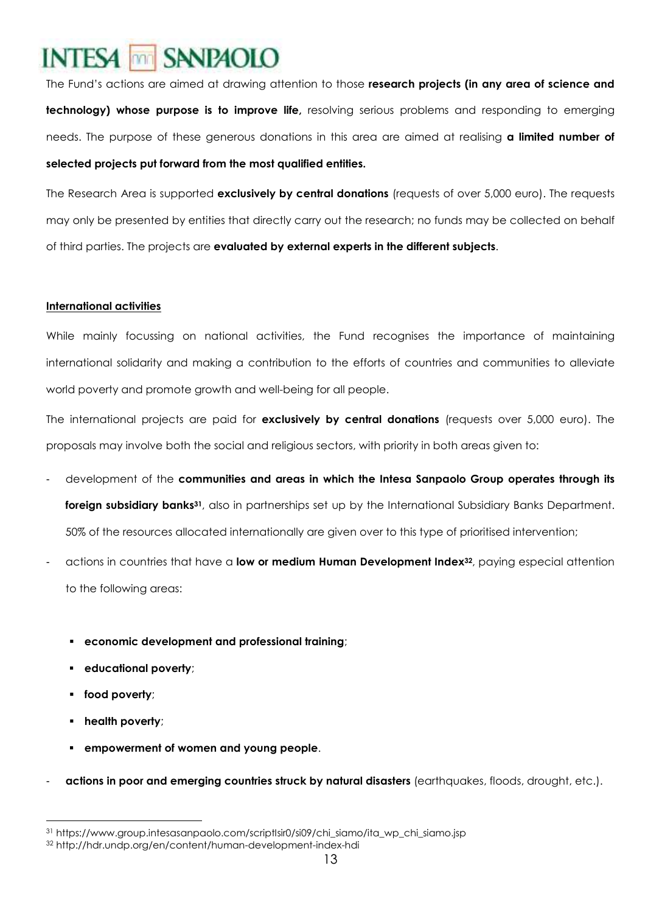The Fund's actions are aimed at drawing attention to those **research projects (in any area of science and technology) whose purpose is to improve life,** resolving serious problems and responding to emerging needs. The purpose of these generous donations in this area are aimed at realising **a limited number of selected projects put forward from the most qualified entities.** 

The Research Area is supported **exclusively by central donations** (requests of over 5,000 euro). The requests may only be presented by entities that directly carry out the research; no funds may be collected on behalf of third parties. The projects are **evaluated by external experts in the different subjects**.

#### **International activities**

While mainly focussing on national activities, the Fund recognises the importance of maintaining international solidarity and making a contribution to the efforts of countries and communities to alleviate world poverty and promote growth and well-being for all people.

The international projects are paid for **exclusively by central donations** (requests over 5,000 euro). The proposals may involve both the social and religious sectors, with priority in both areas given to:

- development of the **communities and areas in which the Intesa Sanpaolo Group operates through its foreign subsidiary banks31**, also in partnerships set up by the International Subsidiary Banks Department. 50% of the resources allocated internationally are given over to this type of prioritised intervention;
- actions in countries that have a **low or medium Human Development Index32**, paying especial attention to the following areas:
	- **economic development and professional training**;
	- **educational poverty**;
	- **food poverty**;
	- **health poverty**;

- **empowerment of women and young people**.
- **actions in poor and emerging countries struck by natural disasters** (earthquakes, floods, drought, etc.).

<sup>31</sup> https://www.group.intesasanpaolo.com/scriptIsir0/si09/chi\_siamo/ita\_wp\_chi\_siamo.jsp

<sup>32</sup> http://hdr.undp.org/en/content/human-development-index-hdi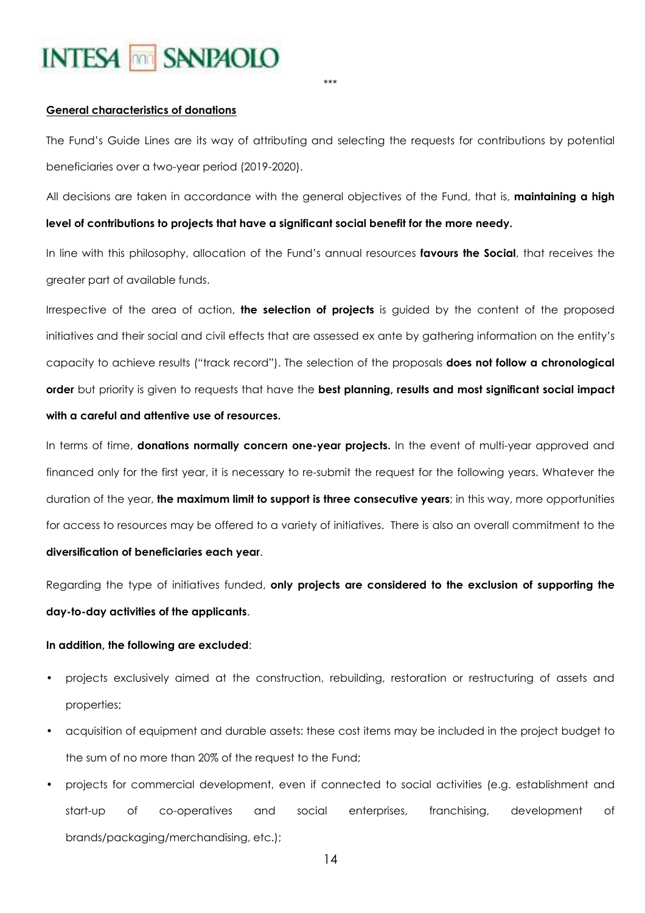\*\*\*

#### **General characteristics of donations**

The Fund's Guide Lines are its way of attributing and selecting the requests for contributions by potential beneficiaries over a two-year period (2019-2020).

All decisions are taken in accordance with the general objectives of the Fund, that is, **maintaining a high level of contributions to projects that have a significant social benefit for the more needy.**

In line with this philosophy, allocation of the Fund's annual resources **favours the Social**, that receives the greater part of available funds.

Irrespective of the area of action, **the selection of projects** is guided by the content of the proposed initiatives and their social and civil effects that are assessed ex ante by gathering information on the entity's capacity to achieve results ("track record"). The selection of the proposals **does not follow a chronological order** but priority is given to requests that have the **best planning, results and most significant social impact with a careful and attentive use of resources.**

In terms of time, **donations normally concern one-year projects.** In the event of multi-year approved and financed only for the first year, it is necessary to re-submit the request for the following years. Whatever the duration of the year, **the maximum limit to support is three consecutive years**; in this way, more opportunities for access to resources may be offered to a variety of initiatives. There is also an overall commitment to the **diversification of beneficiaries each year**.

Regarding the type of initiatives funded, **only projects are considered to the exclusion of supporting the day-to-day activities of the applicants**.

#### **In addition, the following are excluded**:

- projects exclusively aimed at the construction, rebuilding, restoration or restructuring of assets and properties;
- acquisition of equipment and durable assets: these cost items may be included in the project budget to the sum of no more than 20% of the request to the Fund;
- projects for commercial development, even if connected to social activities (e.g. establishment and start-up of co-operatives and social enterprises, franchising, development of brands/packaging/merchandising, etc.);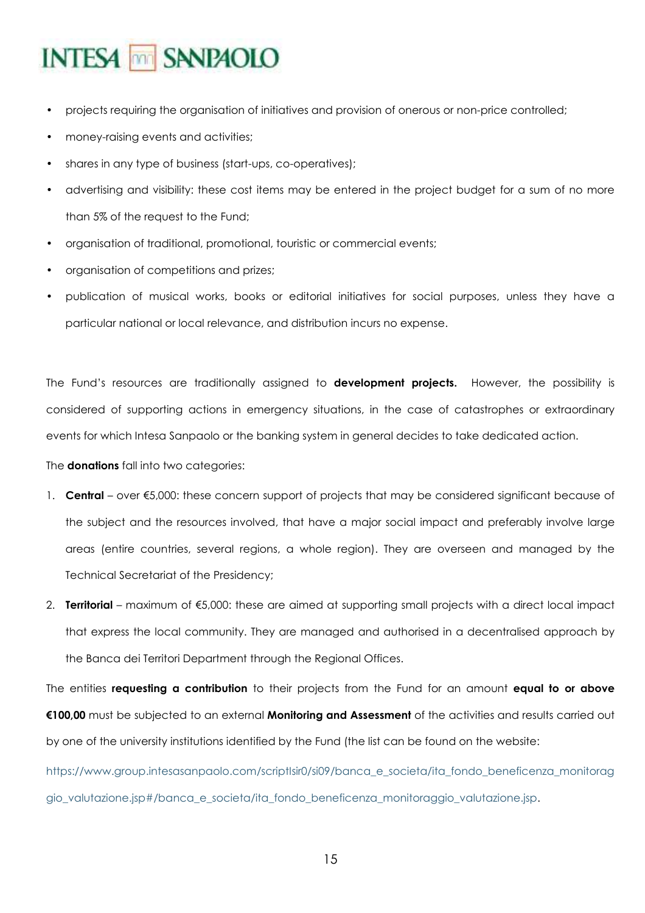- projects requiring the organisation of initiatives and provision of onerous or non-price controlled;
- money-raising events and activities;
- shares in any type of business (start-ups, co-operatives);
- advertising and visibility: these cost items may be entered in the project budget for a sum of no more than 5% of the request to the Fund;
- organisation of traditional, promotional, touristic or commercial events;
- organisation of competitions and prizes;
- publication of musical works, books or editorial initiatives for social purposes, unless they have a particular national or local relevance, and distribution incurs no expense.

The Fund's resources are traditionally assigned to **development projects.** However, the possibility is considered of supporting actions in emergency situations, in the case of catastrophes or extraordinary events for which Intesa Sanpaolo or the banking system in general decides to take dedicated action.

The **donations** fall into two categories:

- 1. **Central** over €5,000: these concern support of projects that may be considered significant because of the subject and the resources involved, that have a major social impact and preferably involve large areas (entire countries, several regions, a whole region). They are overseen and managed by the Technical Secretariat of the Presidency;
- 2. **Territorial** maximum of €5,000: these are aimed at supporting small projects with a direct local impact that express the local community. They are managed and authorised in a decentralised approach by the Banca dei Territori Department through the Regional Offices.

The entities **requesting a contribution** to their projects from the Fund for an amount **equal to or above €100,00** must be subjected to an external **Monitoring and Assessment** of the activities and results carried out by one of the university institutions identified by the Fund (the list can be found on the website:

https://www.group.intesasanpaolo.com/scriptIsir0/si09/banca\_e\_societa/ita\_fondo\_beneficenza\_monitorag gio\_valutazione.jsp#/banca\_e\_societa/ita\_fondo\_beneficenza\_monitoraggio\_valutazione.jsp.

15